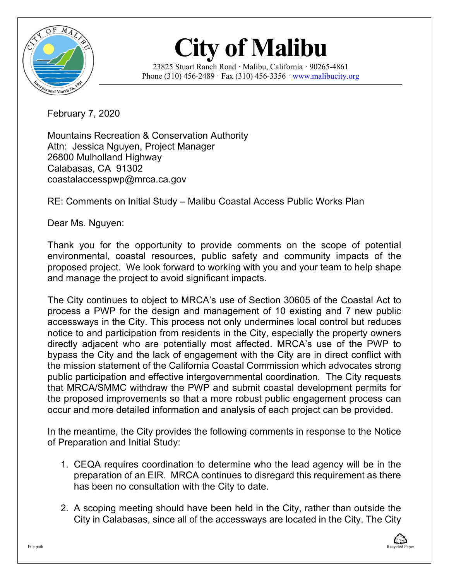

## **City of Malibu**

23825 Stuart Ranch Road · Malibu, California · 90265-4861 Phone (310)  $456-2489$  · Fax (310)  $456-3356$  · [www.malibucity.org](http://www.malibucity.org/)

February 7, 2020

Mountains Recreation & Conservation Authority Attn: Jessica Nguyen, Project Manager 26800 Mulholland Highway Calabasas, CA 91302 coastalaccesspwp@mrca.ca.gov

RE: Comments on Initial Study – Malibu Coastal Access Public Works Plan

Dear Ms. Nguyen:

Thank you for the opportunity to provide comments on the scope of potential environmental, coastal resources, public safety and community impacts of the proposed project. We look forward to working with you and your team to help shape and manage the project to avoid significant impacts.

The City continues to object to MRCA's use of Section 30605 of the Coastal Act to process a PWP for the design and management of 10 existing and 7 new public accessways in the City. This process not only undermines local control but reduces notice to and participation from residents in the City, especially the property owners directly adjacent who are potentially most affected. MRCA's use of the PWP to bypass the City and the lack of engagement with the City are in direct conflict with the mission statement of the California Coastal Commission which advocates strong public participation and effective intergovernmental coordination. The City requests that MRCA/SMMC withdraw the PWP and submit coastal development permits for the proposed improvements so that a more robust public engagement process can occur and more detailed information and analysis of each project can be provided.

In the meantime, the City provides the following comments in response to the Notice of Preparation and Initial Study:

- 1. CEQA requires coordination to determine who the lead agency will be in the preparation of an EIR. MRCA continues to disregard this requirement as there has been no consultation with the City to date.
- 2. A scoping meeting should have been held in the City, rather than outside the City in Calabasas, since all of the accessways are located in the City. The City

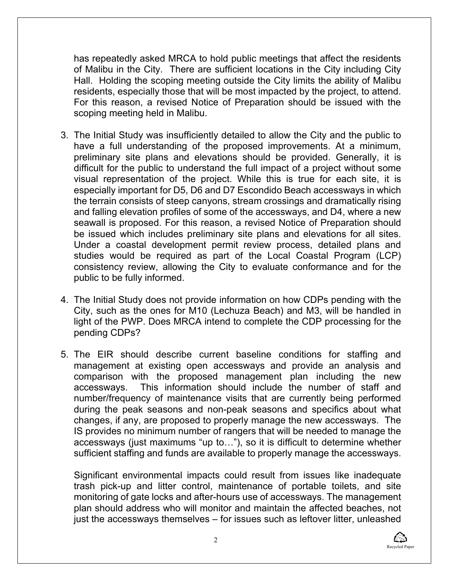has repeatedly asked MRCA to hold public meetings that affect the residents of Malibu in the City. There are sufficient locations in the City including City Hall. Holding the scoping meeting outside the City limits the ability of Malibu residents, especially those that will be most impacted by the project, to attend. For this reason, a revised Notice of Preparation should be issued with the scoping meeting held in Malibu.

- 3. The Initial Study was insufficiently detailed to allow the City and the public to have a full understanding of the proposed improvements. At a minimum, preliminary site plans and elevations should be provided. Generally, it is difficult for the public to understand the full impact of a project without some visual representation of the project. While this is true for each site, it is especially important for D5, D6 and D7 Escondido Beach accessways in which the terrain consists of steep canyons, stream crossings and dramatically rising and falling elevation profiles of some of the accessways, and D4, where a new seawall is proposed. For this reason, a revised Notice of Preparation should be issued which includes preliminary site plans and elevations for all sites. Under a coastal development permit review process, detailed plans and studies would be required as part of the Local Coastal Program (LCP) consistency review, allowing the City to evaluate conformance and for the public to be fully informed.
- 4. The Initial Study does not provide information on how CDPs pending with the City, such as the ones for M10 (Lechuza Beach) and M3, will be handled in light of the PWP. Does MRCA intend to complete the CDP processing for the pending CDPs?
- 5. The EIR should describe current baseline conditions for staffing and management at existing open accessways and provide an analysis and comparison with the proposed management plan including the new accessways. This information should include the number of staff and number/frequency of maintenance visits that are currently being performed during the peak seasons and non-peak seasons and specifics about what changes, if any, are proposed to properly manage the new accessways. The IS provides no minimum number of rangers that will be needed to manage the accessways (just maximums "up to…"), so it is difficult to determine whether sufficient staffing and funds are available to properly manage the accessways.

Significant environmental impacts could result from issues like inadequate trash pick-up and litter control, maintenance of portable toilets, and site monitoring of gate locks and after-hours use of accessways. The management plan should address who will monitor and maintain the affected beaches, not just the accessways themselves – for issues such as leftover litter, unleashed

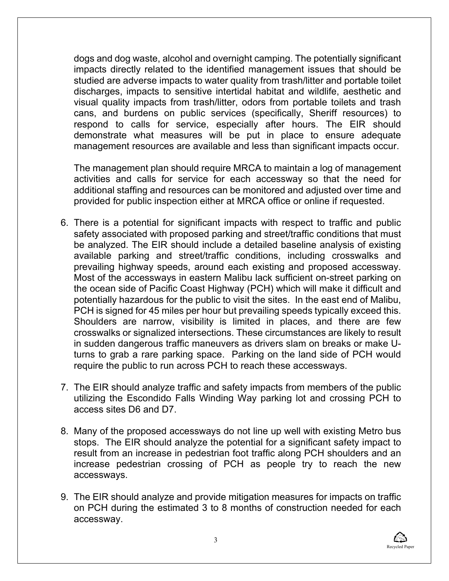dogs and dog waste, alcohol and overnight camping. The potentially significant impacts directly related to the identified management issues that should be studied are adverse impacts to water quality from trash/litter and portable toilet discharges, impacts to sensitive intertidal habitat and wildlife, aesthetic and visual quality impacts from trash/litter, odors from portable toilets and trash cans, and burdens on public services (specifically, Sheriff resources) to respond to calls for service, especially after hours. The EIR should demonstrate what measures will be put in place to ensure adequate management resources are available and less than significant impacts occur.

The management plan should require MRCA to maintain a log of management activities and calls for service for each accessway so that the need for additional staffing and resources can be monitored and adjusted over time and provided for public inspection either at MRCA office or online if requested.

- 6. There is a potential for significant impacts with respect to traffic and public safety associated with proposed parking and street/traffic conditions that must be analyzed. The EIR should include a detailed baseline analysis of existing available parking and street/traffic conditions, including crosswalks and prevailing highway speeds, around each existing and proposed accessway. Most of the accessways in eastern Malibu lack sufficient on-street parking on the ocean side of Pacific Coast Highway (PCH) which will make it difficult and potentially hazardous for the public to visit the sites. In the east end of Malibu, PCH is signed for 45 miles per hour but prevailing speeds typically exceed this. Shoulders are narrow, visibility is limited in places, and there are few crosswalks or signalized intersections. These circumstances are likely to result in sudden dangerous traffic maneuvers as drivers slam on breaks or make Uturns to grab a rare parking space. Parking on the land side of PCH would require the public to run across PCH to reach these accessways.
- 7. The EIR should analyze traffic and safety impacts from members of the public utilizing the Escondido Falls Winding Way parking lot and crossing PCH to access sites D6 and D7.
- 8. Many of the proposed accessways do not line up well with existing Metro bus stops. The EIR should analyze the potential for a significant safety impact to result from an increase in pedestrian foot traffic along PCH shoulders and an increase pedestrian crossing of PCH as people try to reach the new accessways.
- 9. The EIR should analyze and provide mitigation measures for impacts on traffic on PCH during the estimated 3 to 8 months of construction needed for each accessway.

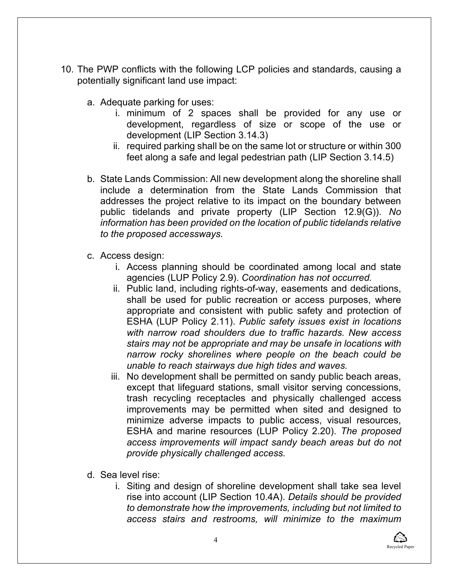- 10. The PWP conflicts with the following LCP policies and standards, causing a potentially significant land use impact:
	- a. Adequate parking for uses:
		- i. minimum of 2 spaces shall be provided for any use or development, regardless of size or scope of the use or development (LIP Section 3.14.3)
		- ii. required parking shall be on the same lot or structure or within 300 feet along a safe and legal pedestrian path (LIP Section 3.14.5)
	- b. State Lands Commission: All new development along the shoreline shall include a determination from the State Lands Commission that addresses the project relative to its impact on the boundary between public tidelands and private property (LIP Section 12.9(G)). *No information has been provided on the location of public tidelands relative to the proposed accessways.*
	- c. Access design:
		- i. Access planning should be coordinated among local and state agencies (LUP Policy 2.9). *Coordination has not occurred.*
		- ii. Public land, including rights-of-way, easements and dedications, shall be used for public recreation or access purposes, where appropriate and consistent with public safety and protection of ESHA (LUP Policy 2.11). *Public safety issues exist in locations with narrow road shoulders due to traffic hazards. New access stairs may not be appropriate and may be unsafe in locations with narrow rocky shorelines where people on the beach could be unable to reach stairways due high tides and waves.*
		- iii. No development shall be permitted on sandy public beach areas, except that lifeguard stations, small visitor serving concessions, trash recycling receptacles and physically challenged access improvements may be permitted when sited and designed to minimize adverse impacts to public access, visual resources, ESHA and marine resources (LUP Policy 2.20). *The proposed access improvements will impact sandy beach areas but do not provide physically challenged access.*
	- d. Sea level rise:
		- i. Siting and design of shoreline development shall take sea level rise into account (LIP Section 10.4A). *Details should be provided to demonstrate how the improvements, including but not limited to access stairs and restrooms, will minimize to the maximum*

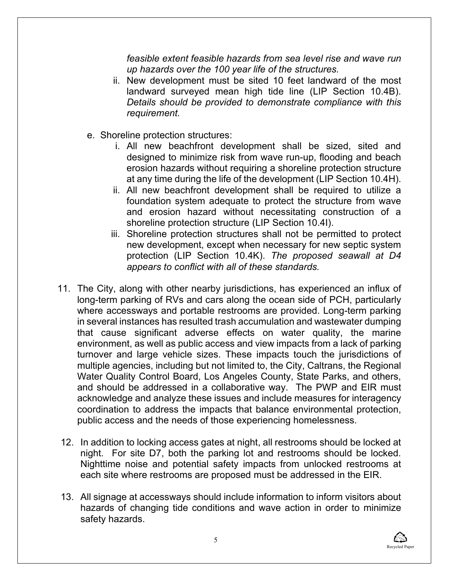*feasible extent feasible hazards from sea level rise and wave run up hazards over the 100 year life of the structures.*

- ii. New development must be sited 10 feet landward of the most landward surveyed mean high tide line (LIP Section 10.4B). *Details should be provided to demonstrate compliance with this requirement.*
- e. Shoreline protection structures:
	- i. All new beachfront development shall be sized, sited and designed to minimize risk from wave run-up, flooding and beach erosion hazards without requiring a shoreline protection structure at any time during the life of the development (LIP Section 10.4H).
	- ii. All new beachfront development shall be required to utilize a foundation system adequate to protect the structure from wave and erosion hazard without necessitating construction of a shoreline protection structure (LIP Section 10.4I).
	- iii. Shoreline protection structures shall not be permitted to protect new development, except when necessary for new septic system protection (LIP Section 10.4K). *The proposed seawall at D4 appears to conflict with all of these standards.*
- 11. The City, along with other nearby jurisdictions, has experienced an influx of long-term parking of RVs and cars along the ocean side of PCH, particularly where accessways and portable restrooms are provided. Long-term parking in several instances has resulted trash accumulation and wastewater dumping that cause significant adverse effects on water quality, the marine environment, as well as public access and view impacts from a lack of parking turnover and large vehicle sizes. These impacts touch the jurisdictions of multiple agencies, including but not limited to, the City, Caltrans, the Regional Water Quality Control Board, Los Angeles County, State Parks, and others, and should be addressed in a collaborative way. The PWP and EIR must acknowledge and analyze these issues and include measures for interagency coordination to address the impacts that balance environmental protection, public access and the needs of those experiencing homelessness.
- 12. In addition to locking access gates at night, all restrooms should be locked at night. For site D7, both the parking lot and restrooms should be locked. Nighttime noise and potential safety impacts from unlocked restrooms at each site where restrooms are proposed must be addressed in the EIR.
- 13. All signage at accessways should include information to inform visitors about hazards of changing tide conditions and wave action in order to minimize safety hazards.